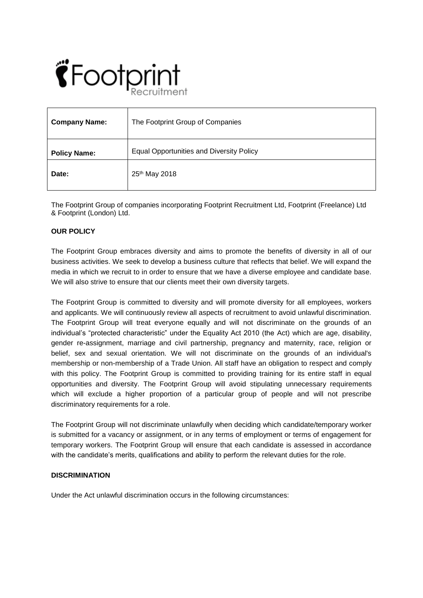# $\hat{\mathbf{C}}$ Footprint

| <b>Company Name:</b> | The Footprint Group of Companies                |
|----------------------|-------------------------------------------------|
| <b>Policy Name:</b>  | <b>Equal Opportunities and Diversity Policy</b> |
| Date:                | 25 <sup>th</sup> May 2018                       |

The Footprint Group of companies incorporating Footprint Recruitment Ltd, Footprint (Freelance) Ltd & Footprint (London) Ltd.

## **OUR POLICY**

The Footprint Group embraces diversity and aims to promote the benefits of diversity in all of our business activities. We seek to develop a business culture that reflects that belief. We will expand the media in which we recruit to in order to ensure that we have a diverse employee and candidate base. We will also strive to ensure that our clients meet their own diversity targets.

The Footprint Group is committed to diversity and will promote diversity for all employees, workers and applicants. We will continuously review all aspects of recruitment to avoid unlawful discrimination. The Footprint Group will treat everyone equally and will not discriminate on the grounds of an individual's "protected characteristic" under the Equality Act 2010 (the Act) which are age, disability, gender re-assignment, marriage and civil partnership, pregnancy and maternity, race, religion or belief, sex and sexual orientation. We will not discriminate on the grounds of an individual's membership or non-membership of a Trade Union. All staff have an obligation to respect and comply with this policy. The Footprint Group is committed to providing training for its entire staff in equal opportunities and diversity. The Footprint Group will avoid stipulating unnecessary requirements which will exclude a higher proportion of a particular group of people and will not prescribe discriminatory requirements for a role.

The Footprint Group will not discriminate unlawfully when deciding which candidate/temporary worker is submitted for a vacancy or assignment, or in any terms of employment or terms of engagement for temporary workers. The Footprint Group will ensure that each candidate is assessed in accordance with the candidate's merits, qualifications and ability to perform the relevant duties for the role.

## **DISCRIMINATION**

Under the Act unlawful discrimination occurs in the following circumstances: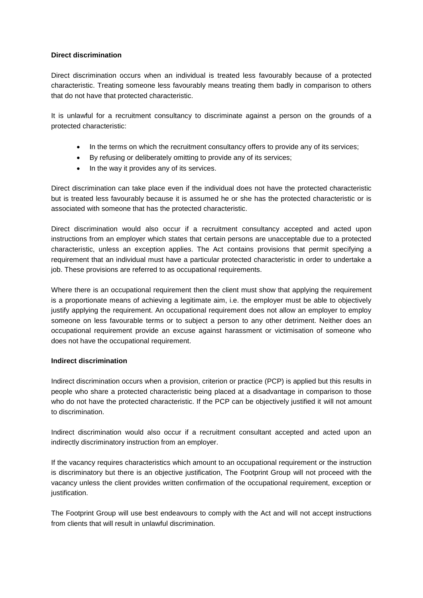## **Direct discrimination**

Direct discrimination occurs when an individual is treated less favourably because of a protected characteristic. Treating someone less favourably means treating them badly in comparison to others that do not have that protected characteristic.

It is unlawful for a recruitment consultancy to discriminate against a person on the grounds of a protected characteristic:

- In the terms on which the recruitment consultancy offers to provide any of its services;
- By refusing or deliberately omitting to provide any of its services;
- In the way it provides any of its services.

Direct discrimination can take place even if the individual does not have the protected characteristic but is treated less favourably because it is assumed he or she has the protected characteristic or is associated with someone that has the protected characteristic.

Direct discrimination would also occur if a recruitment consultancy accepted and acted upon instructions from an employer which states that certain persons are unacceptable due to a protected characteristic, unless an exception applies. The Act contains provisions that permit specifying a requirement that an individual must have a particular protected characteristic in order to undertake a job. These provisions are referred to as occupational requirements.

Where there is an occupational requirement then the client must show that applying the requirement is a proportionate means of achieving a legitimate aim, i.e. the employer must be able to objectively justify applying the requirement. An occupational requirement does not allow an employer to employ someone on less favourable terms or to subject a person to any other detriment. Neither does an occupational requirement provide an excuse against harassment or victimisation of someone who does not have the occupational requirement.

## **Indirect discrimination**

Indirect discrimination occurs when a provision, criterion or practice (PCP) is applied but this results in people who share a protected characteristic being placed at a disadvantage in comparison to those who do not have the protected characteristic. If the PCP can be objectively justified it will not amount to discrimination.

Indirect discrimination would also occur if a recruitment consultant accepted and acted upon an indirectly discriminatory instruction from an employer.

If the vacancy requires characteristics which amount to an occupational requirement or the instruction is discriminatory but there is an objective justification, The Footprint Group will not proceed with the vacancy unless the client provides written confirmation of the occupational requirement, exception or justification.

The Footprint Group will use best endeavours to comply with the Act and will not accept instructions from clients that will result in unlawful discrimination.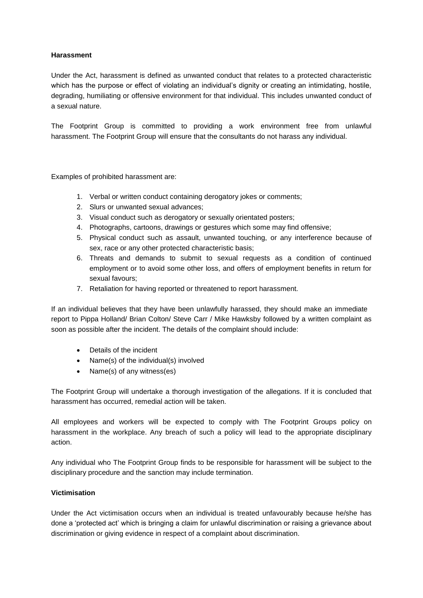## **Harassment**

Under the Act, harassment is defined as unwanted conduct that relates to a protected characteristic which has the purpose or effect of violating an individual's dignity or creating an intimidating, hostile, degrading, humiliating or offensive environment for that individual. This includes unwanted conduct of a sexual nature.

The Footprint Group is committed to providing a work environment free from unlawful harassment. The Footprint Group will ensure that the consultants do not harass any individual.

Examples of prohibited harassment are:

- 1. Verbal or written conduct containing derogatory jokes or comments;
- 2. Slurs or unwanted sexual advances;
- 3. Visual conduct such as derogatory or sexually orientated posters;
- 4. Photographs, cartoons, drawings or gestures which some may find offensive;
- 5. Physical conduct such as assault, unwanted touching, or any interference because of sex, race or any other protected characteristic basis;
- 6. Threats and demands to submit to sexual requests as a condition of continued employment or to avoid some other loss, and offers of employment benefits in return for sexual favours;
- 7. Retaliation for having reported or threatened to report harassment.

If an individual believes that they have been unlawfully harassed, they should make an immediate report to Pippa Holland/ Brian Colton/ Steve Carr / Mike Hawksby followed by a written complaint as soon as possible after the incident. The details of the complaint should include:

- Details of the incident
- Name(s) of the individual(s) involved
- Name(s) of any witness(es)

The Footprint Group will undertake a thorough investigation of the allegations. If it is concluded that harassment has occurred, remedial action will be taken.

All employees and workers will be expected to comply with The Footprint Groups policy on harassment in the workplace. Any breach of such a policy will lead to the appropriate disciplinary action.

Any individual who The Footprint Group finds to be responsible for harassment will be subject to the disciplinary procedure and the sanction may include termination.

## **Victimisation**

Under the Act victimisation occurs when an individual is treated unfavourably because he/she has done a 'protected act' which is bringing a claim for unlawful discrimination or raising a grievance about discrimination or giving evidence in respect of a complaint about discrimination.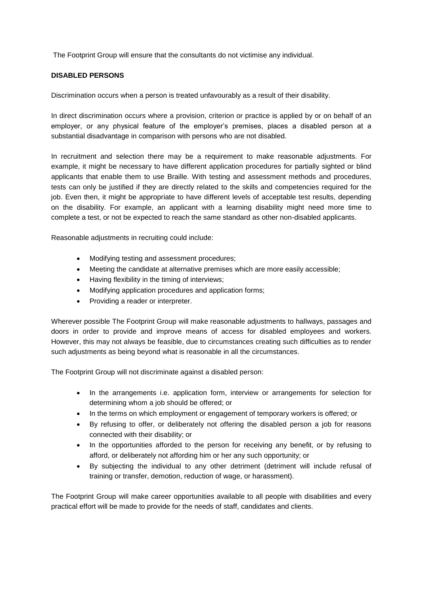The Footprint Group will ensure that the consultants do not victimise any individual.

## **DISABLED PERSONS**

Discrimination occurs when a person is treated unfavourably as a result of their disability.

In direct discrimination occurs where a provision, criterion or practice is applied by or on behalf of an employer, or any physical feature of the employer's premises, places a disabled person at a substantial disadvantage in comparison with persons who are not disabled.

In recruitment and selection there may be a requirement to make reasonable adjustments. For example, it might be necessary to have different application procedures for partially sighted or blind applicants that enable them to use Braille. With testing and assessment methods and procedures, tests can only be justified if they are directly related to the skills and competencies required for the job. Even then, it might be appropriate to have different levels of acceptable test results, depending on the disability. For example, an applicant with a learning disability might need more time to complete a test, or not be expected to reach the same standard as other non-disabled applicants.

Reasonable adjustments in recruiting could include:

- Modifying testing and assessment procedures;
- Meeting the candidate at alternative premises which are more easily accessible;
- Having flexibility in the timing of interviews;
- Modifying application procedures and application forms;
- Providing a reader or interpreter.

Wherever possible The Footprint Group will make reasonable adjustments to hallways, passages and doors in order to provide and improve means of access for disabled employees and workers. However, this may not always be feasible, due to circumstances creating such difficulties as to render such adjustments as being beyond what is reasonable in all the circumstances.

The Footprint Group will not discriminate against a disabled person:

- In the arrangements i.e. application form, interview or arrangements for selection for determining whom a job should be offered; or
- In the terms on which employment or engagement of temporary workers is offered; or
- By refusing to offer, or deliberately not offering the disabled person a job for reasons connected with their disability; or
- In the opportunities afforded to the person for receiving any benefit, or by refusing to afford, or deliberately not affording him or her any such opportunity; or
- By subjecting the individual to any other detriment (detriment will include refusal of training or transfer, demotion, reduction of wage, or harassment).

The Footprint Group will make career opportunities available to all people with disabilities and every practical effort will be made to provide for the needs of staff, candidates and clients.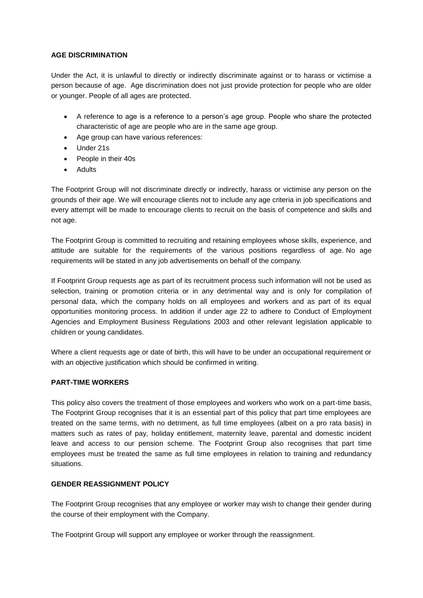## **AGE DISCRIMINATION**

Under the Act, it is unlawful to directly or indirectly discriminate against or to harass or victimise a person because of age. Age discrimination does not just provide protection for people who are older or younger. People of all ages are protected.

- A reference to age is a reference to a person's age group. People who share the protected characteristic of age are people who are in the same age group.
- Age group can have various references:
- Under 21s
- People in their 40s
- **Adults**

The Footprint Group will not discriminate directly or indirectly, harass or victimise any person on the grounds of their age. We will encourage clients not to include any age criteria in job specifications and every attempt will be made to encourage clients to recruit on the basis of competence and skills and not age.

The Footprint Group is committed to recruiting and retaining employees whose skills, experience, and attitude are suitable for the requirements of the various positions regardless of age. No age requirements will be stated in any job advertisements on behalf of the company.

If Footprint Group requests age as part of its recruitment process such information will not be used as selection, training or promotion criteria or in any detrimental way and is only for compilation of personal data, which the company holds on all employees and workers and as part of its equal opportunities monitoring process. In addition if under age 22 to adhere to Conduct of Employment Agencies and Employment Business Regulations 2003 and other relevant legislation applicable to children or young candidates.

Where a client requests age or date of birth, this will have to be under an occupational requirement or with an objective justification which should be confirmed in writing.

# **PART-TIME WORKERS**

This policy also covers the treatment of those employees and workers who work on a part-time basis, The Footprint Group recognises that it is an essential part of this policy that part time employees are treated on the same terms, with no detriment, as full time employees (albeit on a pro rata basis) in matters such as rates of pay, holiday entitlement, maternity leave, parental and domestic incident leave and access to our pension scheme. The Footprint Group also recognises that part time employees must be treated the same as full time employees in relation to training and redundancy situations.

# **GENDER REASSIGNMENT POLICY**

The Footprint Group recognises that any employee or worker may wish to change their gender during the course of their employment with the Company.

The Footprint Group will support any employee or worker through the reassignment.